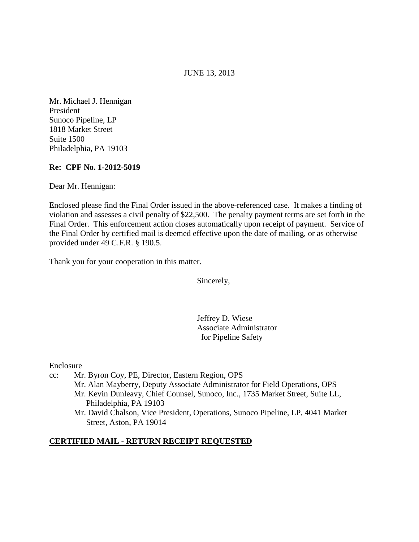#### JUNE 13, 2013

Mr. Michael J. Hennigan President Sunoco Pipeline, LP 1818 Market Street Suite 1500 Philadelphia, PA 19103

#### **Re: CPF No. 1-2012-5019**

Dear Mr. Hennigan:

Enclosed please find the Final Order issued in the above-referenced case. It makes a finding of violation and assesses a civil penalty of \$22,500. The penalty payment terms are set forth in the Final Order. This enforcement action closes automatically upon receipt of payment. Service of the Final Order by certified mail is deemed effective upon the date of mailing, or as otherwise provided under 49 C.F.R. § 190.5.

Thank you for your cooperation in this matter.

Sincerely,

Jeffrey D. Wiese Associate Administrator for Pipeline Safety

Enclosure

- cc: Mr. Byron Coy, PE, Director, Eastern Region, OPS Mr. Alan Mayberry, Deputy Associate Administrator for Field Operations, OPS Mr. Kevin Dunleavy, Chief Counsel, Sunoco, Inc., 1735 Market Street, Suite LL, Philadelphia, PA 19103
	- Mr. David Chalson, Vice President, Operations, Sunoco Pipeline, LP, 4041 Market Street, Aston, PA 19014

#### **CERTIFIED MAIL - RETURN RECEIPT REQUESTED**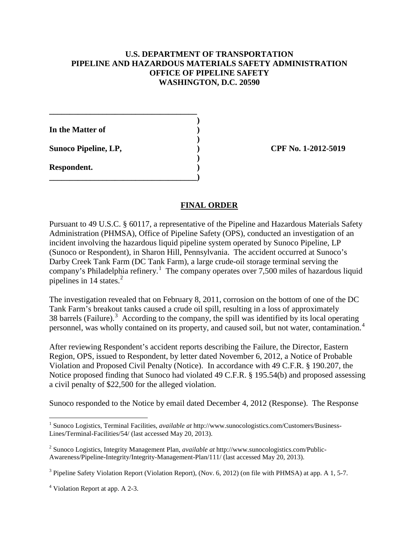### **U.S. DEPARTMENT OF TRANSPORTATION PIPELINE AND HAZARDOUS MATERIALS SAFETY ADMINISTRATION OFFICE OF PIPELINE SAFETY WASHINGTON, D.C. 20590**

 **) In the Matter of )** 

**\_\_\_\_\_\_\_\_\_\_\_\_\_\_\_\_\_\_\_\_\_\_\_\_\_\_\_\_\_\_\_\_\_\_\_\_** 

 **)** 

 **)** 

**\_\_\_\_\_\_\_\_\_\_\_\_\_\_\_\_\_\_\_\_\_\_\_\_\_\_\_\_\_\_\_\_\_\_\_\_)** 

Sunoco Pipeline, LP, 2012-5019

**Respondent. )** 

# **FINAL ORDER**

Pursuant to 49 U.S.C. § 60117, a representative of the Pipeline and Hazardous Materials Safety Administration (PHMSA), Office of Pipeline Safety (OPS), conducted an investigation of an incident involving the hazardous liquid pipeline system operated by Sunoco Pipeline, LP (Sunoco or Respondent), in Sharon Hill, Pennsylvania. The accident occurred at Sunoco's Darby Creek Tank Farm (DC Tank Farm), a large crude-oil storage terminal serving the company's Philadelphia refinery.<sup>1</sup> The company operates over 7,500 miles of hazardous liquid pipelines in 14 states.<sup>2</sup>

The investigation revealed that on February 8, 2011, corrosion on the bottom of one of the DC Tank Farm's breakout tanks caused a crude oil spill, resulting in a loss of approximately 38 barrels (Failure).<sup>3</sup> According to the company, the spill was identified by its local operating personnel, was wholly contained on its property, and caused soil, but not water, contamination.<sup>4</sup>

After reviewing Respondent's accident reports describing the Failure, the Director, Eastern Region, OPS, issued to Respondent, by letter dated November 6, 2012, a Notice of Probable Violation and Proposed Civil Penalty (Notice). In accordance with 49 C.F.R. § 190.207, the Notice proposed finding that Sunoco had violated 49 C.F.R. § 195.54(b) and proposed assessing a civil penalty of \$22,500 for the alleged violation.

Sunoco responded to the Notice by email dated December 4, 2012 (Response). The Response

 $\overline{a}$ 

<sup>1</sup> Sunoco Logistics, Terminal Facilities, *available at* http://www.sunocologistics.com/Customers/Business-Lines/Terminal-Facilities/54/ (last accessed May 20, 2013).

<sup>2</sup> Sunoco Logistics, Integrity Management Plan, *available at* http://www.sunocologistics.com/Public-Awareness/Pipeline-Integrity/Integrity-Management-Plan/111/ (last accessed May 20, 2013).

<sup>&</sup>lt;sup>3</sup> Pipeline Safety Violation Report (Violation Report), (Nov. 6, 2012) (on file with PHMSA) at app. A 1, 5-7.

<sup>4</sup> Violation Report at app. A 2-3.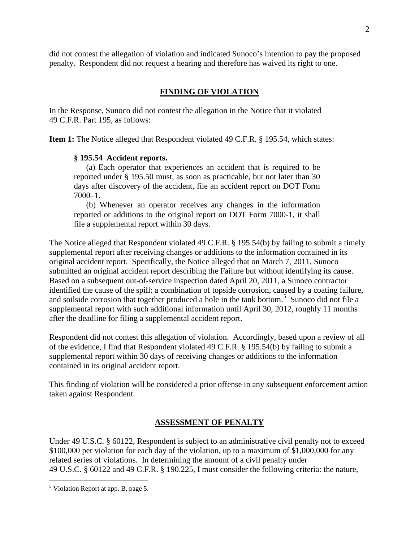did not contest the allegation of violation and indicated Sunoco's intention to pay the proposed penalty. Respondent did not request a hearing and therefore has waived its right to one.

# **FINDING OF VIOLATION**

In the Response, Sunoco did not contest the allegation in the Notice that it violated 49 C.F.R. Part 195, as follows:

**Item 1:** The Notice alleged that Respondent violated 49 C.F.R. § 195.54, which states:

## **§ 195.54 Accident reports.**

(a) Each operator that experiences an accident that is required to be reported under § 195.50 must, as soon as practicable, but not later than 30 days after discovery of the accident, file an accident report on DOT Form 7000–1.

(b) Whenever an operator receives any changes in the information reported or additions to the original report on DOT Form 7000-1, it shall file a supplemental report within 30 days.

The Notice alleged that Respondent violated 49 C.F.R. § 195.54(b) by failing to submit a timely supplemental report after receiving changes or additions to the information contained in its original accident report. Specifically, the Notice alleged that on March 7, 2011, Sunoco submitted an original accident report describing the Failure but without identifying its cause. Based on a subsequent out-of-service inspection dated April 20, 2011, a Sunoco contractor identified the cause of the spill: a combination of topside corrosion, caused by a coating failure, and soilside corrosion that together produced a hole in the tank bottom.<sup>5</sup> Sunoco did not file a supplemental report with such additional information until April 30, 2012, roughly 11 months after the deadline for filing a supplemental accident report.

Respondent did not contest this allegation of violation. Accordingly, based upon a review of all of the evidence, I find that Respondent violated 49 C.F.R. § 195.54(b) by failing to submit a supplemental report within 30 days of receiving changes or additions to the information contained in its original accident report.

This finding of violation will be considered a prior offense in any subsequent enforcement action taken against Respondent.

# **ASSESSMENT OF PENALTY**

Under 49 U.S.C. § 60122, Respondent is subject to an administrative civil penalty not to exceed \$100,000 per violation for each day of the violation, up to a maximum of \$1,000,000 for any related series of violations. In determining the amount of a civil penalty under 49 U.S.C. § 60122 and 49 C.F.R. § 190.225, I must consider the following criteria: the nature,

 $\overline{a}$ 

<sup>5</sup> Violation Report at app. B, page 5.